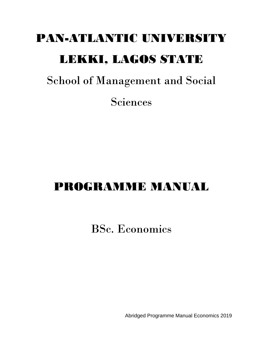# PAN-ATLANTIC UNIVERSITY LEKKI, LAGOS STATE

School of Management and Social

Sciences

# PROGRAMME MANUAL

BSc. Economics

Abridged Programme Manual Economics 2019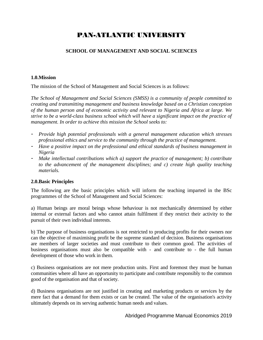# PAN-ATLANTIC UNIVERSITY

### **SCHOOL OF MANAGEMENT AND SOCIAL SCIENCES**

### **1.0.Mission**

The mission of the School of Management and Social Sciences is as follows:

*The School of Management and Social Sciences (SMSS) is a community of people committed to creating and transmitting management and business knowledge based on a Christian conception of the human person and of economic activity and relevant to Nigeria and Africa at large. We strive to be a world-class business school which will have a significant impact on the practice of management. In order to achieve this mission the School seeks to:*

- *Provide high potential professionals with a general management education which stresses professional ethics and service to the community through the practice of management.*
- *Have a positive impact on the professional and ethical standards of business management in Nigeria*
- *Make intellectual contributions which a) support the practice of management; b) contribute to the advancement of the management disciplines; and c) create high quality teaching materials.*

### **2.0.Basic Principles**

The following are the basic principles which will inform the teaching imparted in the BSc programmes of the School of Management and Social Sciences:

a) Human beings are moral beings whose behaviour is not mechanically determined by either internal or external factors and who cannot attain fulfilment if they restrict their activity to the pursuit of their own individual interests.

b) The purpose of business organisations is not restricted to producing profits for their owners nor can the objective of maximising profit be the supreme standard of decision. Business organisations are members of larger societies and must contribute to their common good. The activities of business organisations must also be compatible with - and contribute to - the full human development of those who work in them.

c) Business organisations are not mere production units. First and foremost they must be human communities where all have an opportunity to participate and contribute responsibly to the common good of the organisation and that of society.

d) Business organisations are not justified in creating and marketing products or services by the mere fact that a demand for them exists or can be created. The value of the organisation's activity ultimately depends on its serving authentic human needs and values.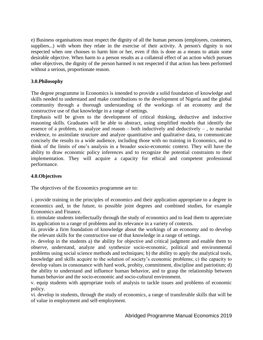e) Business organisations must respect the dignity of all the human persons (employees, customers, suppliers...) with whom they relate in the exercise of their activity. A person's dignity is not respected when one chooses to harm him or her, even if this is done as a means to attain some desirable objective. When harm to a person results as a collateral effect of an action which pursues other objectives, the dignity of the person harmed is not respected if that action has been performed without a serious, proportionate reason.

### **3.0.Philosophy**

The degree programme in Economics is intended to provide a solid foundation of knowledge and skills needed to understand and make contributions to the development of Nigeria and the global community through a thorough understanding of the workings of an economy and the constructive use of that knowledge in a range of settings.

Emphasis will be given to the development of critical thinking, deductive and inductive reasoning skills. Graduates will be able to abstract, using simplified models that identify the essence of a problem, to analyze and reason  $-$  both inductively and deductively  $-$ , to marshal evidence, to assimilate structure and analyze quantitative and qualitative data, to communicate concisely the results to a wide audience, including those with no training in Economics, and to think of the limits of one's analysis in a broader socio-economic context. They will have the ability to draw economic policy inferences and to recognize the potential constraints to their implementation. They will acquire a capacity for ethical and competent professional performance.

### **4.0.Objectives**

The objectives of the Economics programme are to:

i. provide training in the principles of economics and their application appropriate to a degree in economics and, in the future, to possible joint degrees and combined studies, for example Economics and Finance.

ii. stimulate students intellectually through the study of economics and to lead them to appreciate its application to a range of problems and its relevance in a variety of contexts.

iii. provide a firm foundation of knowledge about the workings of an economy and to develop the relevant skills for the constructive use of that knowledge in a range of settings.

iv. develop in the students a) the ability for objective and critical judgment and enable them to observe, understand, analyze and synthesize socio-economic, political and environmental problems using social science methods and techniques; b) the ability to apply the analytical tools, knowledge and skills acquire to the solution of society's economic problems; c) the capacity to develop values in consonance with hard work, probity, commitment, discipline and patriotism; d) the ability to understand and influence human behavior, and to grasp the relationship between human behavior and the socio-economic and socio-cultural environment.

v. equip students with appropriate tools of analysis to tackle issues and problems of economic policy.

vi. develop in students, through the study of economics, a range of transferable skills that will be of value in employment and self-employment.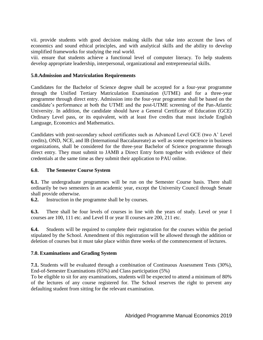vii. provide students with good decision making skills that take into account the laws of economics and sound ethical principles, and with analytical skills and the ability to develop simplified frameworks for studying the real world.

viii. ensure that students achieve a functional level of computer literacy. To help students develop appropriate leadership, interpersonal, organizational and entrepreneurial skills.

### **5.0.Admission and Matriculation Requirements**

Candidates for the Bachelor of Science degree shall be accepted for a four-year programme through the Unified Tertiary Matriculation Examination (UTME) and for a three-year programme through direct entry. Admission into the four-year programme shall be based on the candidate's performance at both the UTME and the post-UTME screening of the Pan-Atlantic University. In addition, the candidate should have a General Certificate of Education (GCE) Ordinary Level pass, or its equivalent, with at least five credits that must include English Language, Economics and Mathematics.

Candidates with post-secondary school certificates such as Advanced Level GCE (two A' Level credits), OND, NCE, and IB (International Baccalaureate) as well as some experience in business organizations, shall be considered for the three-year Bachelor of Science programme through direct entry. They must submit to JAMB a Direct Entry form together with evidence of their credentials at the same time as they submit their application to PAU online.

### **6.0. The Semester Course System**

**6.1.** The undergraduate programmes will be run on the Semester Course basis. There shall ordinarily be two semesters in an academic year, except the University Council through Senate shall provide otherwise.

**6.2.** Instruction in the programme shall be by courses.

**6.3.** There shall be four levels of courses in line with the years of study. Level or year I courses are 100, 111 etc. and Level II or year II courses are 200, 211 etc.

**6.4.** Students will be required to complete their registration for the courses within the period stipulated by the School. Amendment of this registration will be allowed through the addition or deletion of courses but it must take place within three weeks of the commencement of lectures.

### **7.0. Examinations and Grading System**

**7.1.** Students will be evaluated through a combination of Continuous Assessment Tests (30%), End-of-Semester Examinations (65%) and Class participation (5%)

To be eligible to sit for any examinations, students will be expected to attend a minimum of 80% of the lectures of any course registered for. The School reserves the right to prevent any defaulting student from sitting for the relevant examination.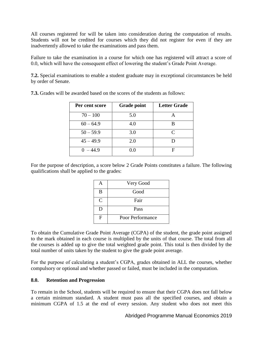All courses registered for will be taken into consideration during the computation of results. Students will not be credited for courses which they did not register for even if they are inadvertently allowed to take the examinations and pass them.

Failure to take the examination in a course for which one has registered will attract a score of 0.0, which will have the consequent effect of lowering the student's Grade Point Average.

**7.2.** Special examinations to enable a student graduate may in exceptional circumstances be held by order of Senate.

| Per cent score | <b>Grade point</b> | <b>Letter Grade</b> |
|----------------|--------------------|---------------------|
| $70 - 100$     | 5.0                |                     |
| $60 - 64.9$    | 4.0                |                     |
| $50 - 59.9$    | 3.0                | $\subset$           |
| $45 - 49.9$    | 2.0                |                     |
| $0 - 44.9$     | $( )_1()$          | н                   |

**7.3.** Grades will be awarded based on the scores of the students as follows:

For the purpose of description, a score below 2 Grade Points constitutes a failure. The following qualifications shall be applied to the grades:

|              | Very Good        |
|--------------|------------------|
| B            | Good             |
| $\mathsf{C}$ | Fair             |
| D            | Pass             |
| F            | Poor Performance |

To obtain the Cumulative Grade Point Average (CGPA) of the student, the grade point assigned to the mark obtained in each course is multiplied by the units of that course. The total from all the courses is added up to give the total weighted grade point. This total is then divided by the total number of units taken by the student to give the grade point average.

For the purpose of calculating a student's CGPA, grades obtained in ALL the courses, whether compulsory or optional and whether passed or failed, must be included in the computation.

### **8.0. Retention and Progression**

To remain in the School, students will be required to ensure that their CGPA does not fall below a certain minimum standard. A student must pass all the specified courses, and obtain a minimum CGPA of 1.5 at the end of every session. Any student who does not meet this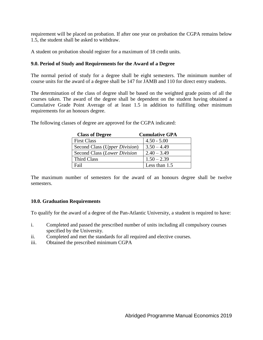requirement will be placed on probation. If after one year on probation the CGPA remains below 1.5, the student shall be asked to withdraw.

A student on probation should register for a maximum of 18 credit units.

### **9.0. Period of Study and Requirements for the Award of a Degree**

The normal period of study for a degree shall be eight semesters. The minimum number of course units for the award of a degree shall be 147 for JAMB and 110 for direct entry students.

The determination of the class of degree shall be based on the weighted grade points of all the courses taken. The award of the degree shall be dependent on the student having obtained a Cumulative Grade Point Average of at least 1.5 in addition to fulfilling other minimum requirements for an honours degree.

| <b>Class of Degree</b>                 | <b>Cumulative GPA</b> |
|----------------------------------------|-----------------------|
| <b>First Class</b>                     | $4.50 - 5.00$         |
| Second Class ( <i>Upper Division</i> ) | $3.50 - 4.49$         |
| Second Class (Lower Division           | $2.40 - 3.49$         |
| Third Class                            | $1.50 - 2.39$         |
| Fail                                   | Less than 1.5         |

The following classes of degree are approved for the CGPA indicated:

The maximum number of semesters for the award of an honours degree shall be twelve semesters.

### **10.0. Graduation Requirements**

To qualify for the award of a degree of the Pan-Atlantic University, a student is required to have:

- i. Completed and passed the prescribed number of units including all compulsory courses specified by the University.
- ii. Completed and met the standards for all required and elective courses.
- iii. Obtained the prescribed minimum CGPA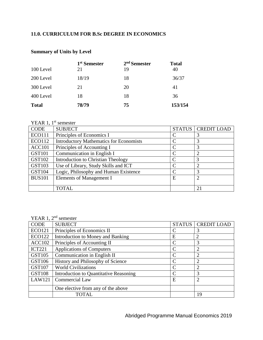# **11.0. CURRICULUM FOR B.Sc DEGREE IN ECONOMICS**

|              | 1 <sup>st</sup> Semester | $2nd$ Semester | <b>Total</b> |
|--------------|--------------------------|----------------|--------------|
| 100 Level    | 21                       | 19             | 40           |
| 200 Level    | 18/19                    | 18             | 36/37        |
| 300 Level    | 21                       | 20             | 41           |
| 400 Level    | 18                       | 18             | 36           |
| <b>Total</b> | 78/79                    | 75             | 153/154      |

## **Summary of Units by Level**

# YEAR 1,  $1^{\text{st}}$  semester

| <b>CODE</b>   | <b>SUBJECT</b>                                 | <b>STATUS</b> | <b>CREDIT LOAD</b>          |
|---------------|------------------------------------------------|---------------|-----------------------------|
| <b>ECO111</b> | Principles of Economics I                      |               |                             |
| <b>ECO112</b> | <b>Introductory Mathematics for Economists</b> |               | 3                           |
| <b>ACC101</b> | Principles of Accounting I                     | $\subset$     |                             |
| <b>GST101</b> | Communication in English I                     |               |                             |
| <b>GST102</b> | Introduction to Christian Theology             |               | 3                           |
| <b>GST103</b> | Use of Library, Study Skills and ICT           |               | ∍                           |
| <b>GST104</b> | Logic, Philosophy and Human Existence          |               | 3                           |
| <b>BUS101</b> | Elements of Management I                       | E             | $\mathcal{D}_{\mathcal{L}}$ |
|               |                                                |               |                             |
|               | <b>TOTAL</b>                                   |               | 21                          |

### YEAR 1, 2<sup>nd</sup> semester

| ********      |                                        |               |                    |
|---------------|----------------------------------------|---------------|--------------------|
| <b>CODE</b>   | <b>SUBJECT</b>                         | <b>STATUS</b> | <b>CREDIT LOAD</b> |
| <b>ECO121</b> | Principles of Economics II             |               | 3                  |
| <b>ECO122</b> | Introduction to Money and Banking      | E             | 2                  |
| <b>ACC102</b> | Principles of Accounting II            |               | 3                  |
| <b>ICT221</b> | <b>Applications of Computers</b>       |               | $\overline{2}$     |
| <b>GST105</b> | Communication in English II            |               | $\overline{2}$     |
| GST106        | History and Philosophy of Science      |               | $\overline{2}$     |
| <b>GST107</b> | <b>World Civilizations</b>             |               | っ                  |
| <b>GST108</b> | Introduction to Quantitative Reasoning |               | 3                  |
| <b>LAW121</b> | Commercial Law                         | E             | $\overline{2}$     |
|               | One elective from any of the above     |               |                    |
|               | TOTAL                                  |               | 19                 |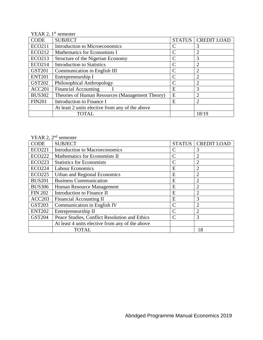|               | YEAR 2, $1st$ semester                          |               |                    |
|---------------|-------------------------------------------------|---------------|--------------------|
| <b>CODE</b>   | <b>SUBJECT</b>                                  | <b>STATUS</b> | <b>CREDIT LOAD</b> |
| <b>ECO211</b> | Introduction to Microeconomics                  |               | 3                  |
| ECO212        | Mathematics for Economists I                    | C             | $\overline{2}$     |
| ECO213        | Structure of the Nigerian Economy               |               | 3                  |
| <b>ECO214</b> | <b>Introduction to Statistics</b>               |               | $\overline{2}$     |
| <b>GST201</b> | Communication in English III                    |               | $\overline{2}$     |
| <b>ENT201</b> | Entrepreneurship I                              |               | $\overline{2}$     |
| <b>GST202</b> | Philosophical Anthropology                      |               | $\overline{2}$     |
| ACC201        | <b>Financial Accounting</b>                     | E             | 3                  |
| <b>BUS302</b> | Theories of Human Resources (Management Theory) | E             | $\overline{2}$     |
| <b>FIN201</b> | Introduction to Finance I                       | E             | $\overline{2}$     |
|               | At least 2 units elective from any of the above |               |                    |
|               | <b>TOTAL</b>                                    |               | 18/19              |

YEAR 2, 2<sup>nd</sup> semester

| <b>CODE</b>    | <b>SUBJECT</b>                                  | <b>STATUS</b> | <b>CREDIT LOAD</b> |
|----------------|-------------------------------------------------|---------------|--------------------|
| <b>ECO221</b>  | <b>Introduction to Macroeconomics</b>           |               | 3                  |
| <b>ECO222</b>  | Mathematics for Economists II                   |               | $\overline{2}$     |
| <b>ECO223</b>  | <b>Statistics for Economists</b>                |               | $\overline{2}$     |
| <b>ECO224</b>  | <b>Labour Economics</b>                         | E             | $\overline{2}$     |
| <b>ECO225</b>  | Urban and Regional Economics                    | E             | $\overline{2}$     |
| <b>BUS201</b>  | <b>Business Communication</b>                   | E             | $\overline{2}$     |
| <b>BUS306</b>  | Human Resource Management                       | E             | $\overline{2}$     |
| <b>FIN 202</b> | Introduction to Finance II                      | E             | $\overline{2}$     |
| ACC203         | Financial Accounting II                         | E             | 3                  |
| <b>GST203</b>  | Communication in English IV                     |               | $\overline{2}$     |
| <b>ENT202</b>  | Entrepreneurship II                             |               | $\overline{2}$     |
| <b>GST204</b>  | Peace Studies, Conflict Resolution and Ethics   |               | 3                  |
|                | At least 4 units elective from any of the above |               |                    |
|                | <b>TOTAL</b>                                    |               | 18                 |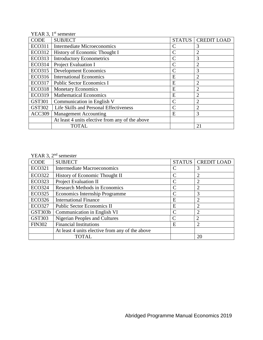|               | YEAR 3, $1st$ semester                          |               |                    |
|---------------|-------------------------------------------------|---------------|--------------------|
| <b>CODE</b>   | <b>SUBJECT</b>                                  | <b>STATUS</b> | <b>CREDIT LOAD</b> |
| <b>ECO311</b> | Intermediate Microeconomics                     | $\mathsf{C}$  | 3                  |
| <b>ECO312</b> | History of Economic Thought I                   |               | $\overline{2}$     |
| <b>ECO313</b> | <b>Introductory Econometrics</b>                |               | 3                  |
| <b>ECO314</b> | Project Evaluation I                            |               | 2                  |
| <b>ECO315</b> | <b>Development Economics</b>                    |               | 3                  |
| <b>ECO316</b> | <b>International Economics</b>                  | E             | 2                  |
| <b>ECO317</b> | <b>Public Sector Economics I</b>                | E             | $\overline{2}$     |
| <b>ECO318</b> | <b>Monetary Economics</b>                       | E             | $\overline{2}$     |
| <b>ECO319</b> | <b>Mathematical Economics</b>                   | E             | $\overline{2}$     |
| <b>GST301</b> | Communication in English V                      |               | $\overline{2}$     |
| <b>GST302</b> | Life Skills and Personal Effectiveness          |               | $\overline{2}$     |
| ACC309        | <b>Management Accounting</b>                    | E             | 3                  |
|               | At least 4 units elective from any of the above |               |                    |
|               | <b>TOTAL</b>                                    |               | 21                 |

# YEAR 3, 2<sup>nd</sup> semester

| <b>CODE</b>   | <b>SUBJECT</b>                                  | <b>STATUS</b> | <b>CREDIT LOAD</b> |
|---------------|-------------------------------------------------|---------------|--------------------|
| <b>ECO321</b> | <b>Intermediate Macroeconomics</b>              |               | 3                  |
| <b>ECO322</b> | History of Economic Thought II                  |               | $\overline{2}$     |
| <b>ECO323</b> | <b>Project Evaluation II</b>                    |               | $\overline{2}$     |
| <b>ECO324</b> | <b>Research Methods in Economics</b>            |               | $\overline{2}$     |
| <b>ECO325</b> | Economics Internship Programme                  | $\subset$     | 3                  |
| <b>ECO326</b> | <b>International Finance</b>                    | E             | $\overline{2}$     |
| <b>ECO327</b> | <b>Public Sector Economics II</b>               | E             | $\overline{2}$     |
| GST303b       | Communication in English VI                     |               | 2                  |
| <b>GST303</b> | <b>Nigerian Peoples and Cultures</b>            |               | $\overline{2}$     |
| <b>FIN302</b> | <b>Financial Institutions</b>                   | E             | $\overline{2}$     |
|               | At least 4 units elective from any of the above |               |                    |
|               | <b>TOTAL</b>                                    |               | 20                 |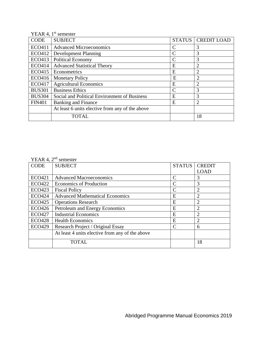|               | YEAR 4, $1st$ semester                          |               |                    |
|---------------|-------------------------------------------------|---------------|--------------------|
| CODE          | <b>SUBJECT</b>                                  | <b>STATUS</b> | <b>CREDIT LOAD</b> |
| ECO411        | <b>Advanced Microeconomics</b>                  |               | 3                  |
| <b>ECO412</b> | <b>Development Planning</b>                     |               | 3                  |
| <b>ECO413</b> | <b>Political Economy</b>                        |               | 3                  |
| <b>ECO414</b> | <b>Advanced Statistical Theory</b>              | E             | $\overline{2}$     |
| <b>ECO415</b> | Econometrics                                    | E             | $\overline{2}$     |
| <b>ECO416</b> | <b>Monetary Policy</b>                          | E             | 2                  |
| <b>ECO417</b> | <b>Agricultural Economics</b>                   | E             | $\overline{2}$     |
| <b>BUS301</b> | <b>Business Ethics</b>                          |               | 3                  |
| <b>BUS304</b> | Social and Political Environment of Business    | E             | 3                  |
| <b>FIN401</b> | <b>Banking and Finance</b>                      | E             | $\overline{2}$     |
|               | At least 6 units elective from any of the above |               |                    |
|               | <b>TOTAL</b>                                    |               | 18                 |

### YEAR 4, 2<sup>nd</sup> semester

| 1 LI NN T, L<br><b>CODE</b> | ovincour<br><b>SUBJECT</b>                      | <b>STATUS</b>  | <b>CREDIT</b>               |
|-----------------------------|-------------------------------------------------|----------------|-----------------------------|
|                             |                                                 |                |                             |
|                             |                                                 |                | <b>LOAD</b>                 |
| <b>ECO421</b>               | <b>Advanced Macroeconomics</b>                  | C              | 3                           |
| <b>ECO422</b>               | <b>Economics of Production</b>                  | $\mathcal{C}$  | 3                           |
| <b>ECO423</b>               | <b>Fiscal Policy</b>                            | $\overline{C}$ | 2                           |
| <b>ECO424</b>               | <b>Advanced Mathematical Economics</b>          | Е              | $\overline{2}$              |
| <b>ECO425</b>               | <b>Operations Research</b>                      | E              |                             |
| <b>ECO426</b>               | Petroleum and Energy Economics                  | E              | $\mathcal{D}_{\mathcal{A}}$ |
| <b>ECO427</b>               | <b>Industrial Economics</b>                     | E              | $\overline{c}$              |
| <b>ECO428</b>               | <b>Health Economics</b>                         | E              |                             |
| <b>ECO429</b>               | Research Project / Original Essay               | $\mathcal{C}$  | 6                           |
|                             | At least 4 units elective from any of the above |                |                             |
|                             | <b>TOTAL</b>                                    |                | 18                          |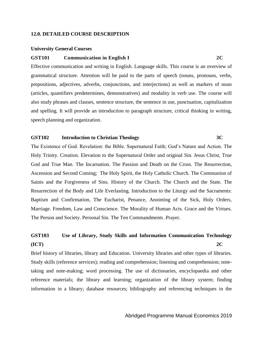#### **12.0. DETAILED COURSE DESCRIPTION**

#### **University General Courses**

### **GST101 Communication in English I 2C**

Effective communication and writing in English. Language skills. This course is an overview of grammatical structure. Attention will be paid to the parts of speech (nouns, pronouns, verbs, prepositions, adjectives, adverbs, conjunctions, and interjections) as well as markers of noun (articles, quantifiers predetermines, demonstratives) and modality in verb use. The course will also study phrases and clauses, sentence structure, the sentence in use, punctuation, capitalization and spelling. It will provide an introduction to paragraph structure, critical thinking in writing, speech planning and organization.

#### **GST102 Introduction to Christian Theology 3C**

The Existence of God. Revelation: the Bible. Supernatural Faith; God's Nature and Action. The Holy Trinity. Creation. Elevation to the Supernatural Order and original Sin. Jesus Christ, True God and True Man. The Incarnation. The Passion and Death on the Cross. The Resurrection, Ascension and Second Coming; The Holy Spirit, the Holy Catholic Church. The Communion of Saints and the Forgiveness of Sins. History of the Church. The Church and the State. The Resurrection of the Body and Life Everlasting. Introduction to the Liturgy and the Sacraments: Baptism and Confirmation, The Eucharist, Penance, Anointing of the Sick, Holy Orders, Marriage. Freedom, Law and Conscience. The Morality of Human Acts. Grace and the Virtues. The Person and Society. Personal Sin. The Ten Commandments .Prayer.

# **GST103 Use of Library, Study Skills and Information Communication Technology (ICT) 2C**

Brief history of libraries, library and Education. University libraries and other types of libraries. Study skills (reference services); reading and comprehension; listening and comprehension; notetaking and note-making; word processing. The use of dictionaries, encyclopaedia and other reference materials; the library and learning; organization of the library system; finding information in a library; database resources; bibliography and referencing techniques in the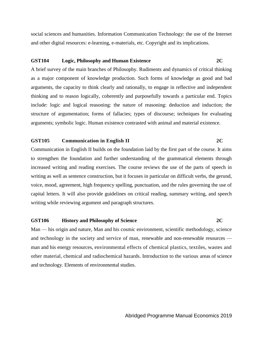social sciences and humanities. Information Communication Technology: the use of the Internet and other digital resources: e-learning, e-materials, etc. Copyright and its implications.

#### **GST104 Logic, Philosophy and Human Existence 2C**

A brief survey of the main branches of Philosophy. Rudiments and dynamics of critical thinking as a major component of knowledge production. Such forms of knowledge as good and bad arguments, the capacity to think clearly and rationally, to engage in reflective and independent thinking and to reason logically, coherently and purposefully towards a particular end. Topics include: logic and logical reasoning: the nature of reasoning: deduction and induction; the structure of argumentation; forms of fallacies; types of discourse; techniques for evaluating arguments; symbolic logic. Human existence contrasted with animal and material existence.

#### **GST105 Communication in English II 2C**

Communication in English II builds on the foundation laid by the first part of the course. It aims to strengthen the foundation and further understanding of the grammatical elements through increased writing and reading exercises. The course reviews the use of the parts of speech in writing as well as sentence construction, but it focuses in particular on difficult verbs, the gerund, voice, mood, agreement, high frequency spelling, punctuation, and the rules governing the use of capital letters. It will also provide guidelines on critical reading, summary writing, and speech writing while reviewing argument and paragraph structures.

#### **GST106 History and Philosophy of Science 2C**

Man — his origin and nature, Man and his cosmic environment, scientific methodology, science and technology in the society and service of man, renewable and non-renewable resources man and his energy resources, environmental effects of chemical plastics, textiles, wastes and other material, chemical and radiochemical hazards. Introduction to the various areas of science and technology. Elements of environmental studies.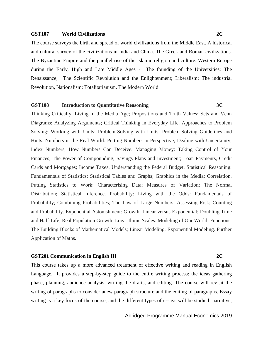#### **GST107 World Civilizations 2C**

The course surveys the birth and spread of world civilizations from the Middle East. A historical and cultural survey of the civilizations in India and China. The Greek and Roman civilizations. The Byzantine Empire and the parallel rise of the Islamic religion and culture. Western Europe during the Early, High and Late Middle Ages - The founding of the Universities; The Renaissance; The Scientific Revolution and the Enlightenment; Liberalism; The industrial Revolution, Nationalism; Totalitarianism. The Modern World.

### **GST108 Introduction to Quantitative Reasoning 3C**

Thinking Critically: Living in the Media Age; Propositions and Truth Values; Sets and Venn Diagrams; Analyzing Arguments; Critical Thinking in Everyday Life. Approaches to Problem Solving: Working with Units; Problem-Solving with Units; Problem-Solving Guidelines and Hints. Numbers in the Real World: Putting Numbers in Perspective; Dealing with Uncertainty; Index Numbers; How Numbers Can Deceive. Managing Money: Taking Control of Your Finances; The Power of Compounding; Savings Plans and Investment; Loan Payments, Credit Cards and Mortgages; Income Taxes; Understanding the Federal Budget. Statistical Reasoning: Fundamentals of Statistics; Statistical Tables and Graphs; Graphics in the Media; Correlation. Putting Statistics to Work: Characterising Data; Measures of Variation; The Normal Distribution; Statistical Inference. Probability: Living with the Odds: Fundamentals of Probability; Combining Probabilities; The Law of Large Numbers; Assessing Risk; Counting and Probability. Exponential Astonishment: Growth: Linear versus Exponential; Doubling Time and Half-Life; Real Population Growth; Logarithmic Scales. Modeling of Our World: Functions: The Building Blocks of Mathematical Models; Linear Modeling; Exponential Modeling. Further Application of Maths.

#### **GST201 Communication in English III 2C**

This course takes up a more advanced treatment of effective writing and reading in English Language. It provides a step-by-step guide to the entire writing process: the ideas gathering phase, planning, audience analysis, writing the drafts, and editing. The course will revisit the writing of paragraphs to consider anew paragraph structure and the editing of paragraphs. Essay writing is a key focus of the course, and the different types of essays will be studied: narrative,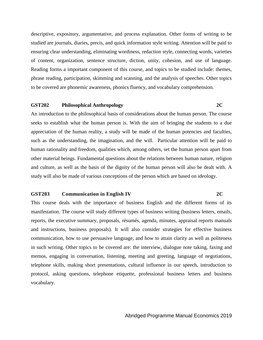descriptive, expository, argumentative, and process explanation. Other forms of writing to be studied are journals, diaries, precis, and quick information style writing. Attention will be paid to ensuring clear understanding, eliminating wordiness, redaction style, connecting words, varieties of content, organization, sentence structure, diction, unity, cohesion, and use of language. Reading forms a important component of this course, and topics to be studied include: themes, phrase reading, participation, skimming and scanning, and the analysis of speeches. Other topics to be covered are phonemic awareness, phonics fluency, and vocabulary comprehension.

### **GST202 Philosophical Anthropology 2C**

An introduction to the philosophical basis of considerations about the human person. The course seeks to establish what the human person is. With the aim of bringing the students to a due appreciation of the human reality, a study will be made of the human potencies and faculties, such as the understanding, the imagination, and the will. Particular attention will be paid to human rationality and freedom, qualities which, among others, set the human person apart from other material beings. Fundamental questions about the relations between human nature, religion and culture, as well as the basis of the dignity of the human person will also be dealt with. A study will also be made of various conceptions of the person which are based on ideology.

#### **GST203 Communication in English IV 2C**

This course deals with the importance of business English and the different forms of its manifestation. The course will study different types of business writing (business letters, emails, reports, the executive summary, proposals, résumés, agenda, minutes, appraisal reports manuals and instructions, business proposals). It will also consider strategies for effective business communication, how to use persuasive language, and how to attain clarity as well as politeness in such writing. Other topics to be covered are: the interview, dialogue note taking, faxing and memos, engaging in conversation, listening, meeting and greeting, language of negotiations, telephone skills, making short presentations, cultural influence in our speech, introduction to protocol, asking questions, telephone etiquette, professional business letters and business vocabulary.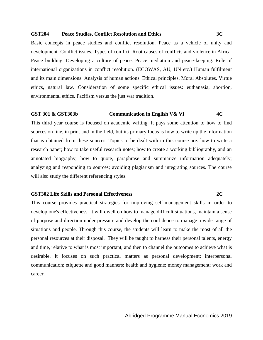#### **GST204 Peace Studies, Conflict Resolution and Ethics 3C**

Basic concepts in peace studies and conflict resolution. Peace as a vehicle of unity and development. Conflict issues. Types of conflict. Root causes of conflicts and violence in Africa. Peace building. Developing a culture of peace. Peace mediation and peace-keeping. Role of international organizations in conflict resolution. (ECOWAS, AU, UN etc.) Human fulfilment and its main dimensions. Analysis of human actions. Ethical principles. Moral Absolutes. Virtue ethics, natural law. Consideration of some specific ethical issues: euthanasia, abortion, environmental ethics. Pacifism versus the just war tradition.

#### **GST 301 & GST303b Communication in English V& VI 4C**

This third year course is focused on academic writing. It pays some attention to how to find sources on line, in print and in the field, but its primary focus is how to write up the information that is obtained from these sources. Topics to be dealt with in this course are: how to write a research paper; how to take useful research notes; how to create a working bibliography, and an annotated biography; how to quote, paraphrase and summarize information adequately; analyzing and responding to sources; avoiding plagiarism and integrating sources. The course will also study the different referencing styles.

### **GST302 Life Skills and Personal Effectiveness 2C**

This course provides practical strategies for improving self-management skills in order to develop one's effectiveness. It will dwell on how to manage difficult situations, maintain a sense of purpose and direction under pressure and develop the confidence to manage a wide range of situations and people. Through this course, the students will learn to make the most of all the personal resources at their disposal. They will be taught to harness their personal talents, energy and time, relative to what is most important, and then to channel the outcomes to achieve what is desirable. It focuses on such practical matters as personal development; interpersonal communication; etiquette and good manners; health and hygiene; money management; work and career.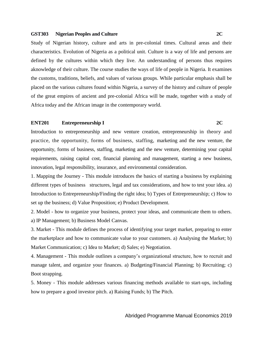#### **GST303 Nigerian Peoples and Culture 2C**

Study of Nigerian history, culture and arts in pre-colonial times. Cultural areas and their characteristics. Evolution of Nigeria as a political unit. Culture is a way of life and persons are defined by the cultures within which they live. An understanding of persons thus requires aknowledge of their culture. The course studies the ways of life of people in Nigeria. It examines the customs, traditions, beliefs, and values of various groups. While particular emphasis shall be placed on the various cultures found within Nigeria, a survey of the history and culture of people of the great empires of ancient and pre-colonial Africa will be made, together with a study of Africa today and the African image in the contemporary world.

### **ENT201 Entrepreneurship I 2C**

Introduction to entrepreneurship and new venture creation, entrepreneurship in theory and practice, the opportunity, forms of business, staffing, marketing and the new venture, the opportunity, forms of business, staffing, marketing and the new venture, determining your capital requirements, raising capital cost, financial planning and management, starting a new business, innovation, legal responsibility, insurance, and environmental consideration.

1. Mapping the Journey - This module introduces the basics of starting a business by explaining different types of business structures, legal and tax considerations, and how to test your idea. a) Introduction to Entrepreneurship/Finding the right idea; b) Types of Entrepreneurship; c) How to set up the business; d) Value Proposition; e) Product Development.

2. Model - how to organize your business, protect your ideas, and communicate them to others. a) IP Management; b) Business Model Canvas.

3. Market - This module defines the process of identifying your target market, preparing to enter the marketplace and how to communicate value to your customers. a) Analysing the Market; b) Market Communication; c) Idea to Market; d) Sales; e) Negotiation.

4. Management - This module outlines a company's organizational structure, how to recruit and manage talent, and organize your finances. a) Budgeting/Financial Planning; b) Recruiting; c) Boot strapping.

5. Money - This module addresses various financing methods available to start-ups, including how to prepare a good investor pitch. a) Raising Funds; b) The Pitch.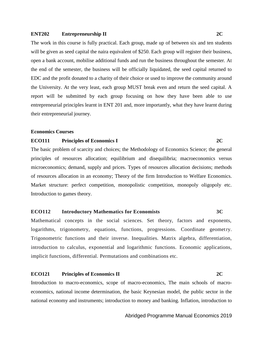#### **ENT202 Entrepreneurship II 2C**

The work in this course is fully practical. Each group, made up of between six and ten students will be given as seed capital the naira equivalent of \$250. Each group will register their business, open a bank account, mobilise additional funds and run the business throughout the semester. At the end of the semester, the business will be officially liquidated, the seed capital returned to EDC and the profit donated to a charity of their choice or used to improve the community around the University. At the very least, each group MUST break even and return the seed capital. A report will be submitted by each group focusing on how they have been able to use entrepreneurial principles learnt in ENT 201 and, more importantly, what they have learnt during their entrepreneurial journey.

#### **Economics Courses**

#### **ECO111 Principles of Economics I 2C**

The basic problem of scarcity and choices; the Methodology of Economics Science; the general principles of resources allocation; equilibrium and disequilibria; macroeconomics versus microeconomics; demand, supply and prices. Types of resources allocation decisions; methods of resources allocation in an economy; Theory of the firm Introduction to Welfare Economics. Market structure: perfect competition, monopolistic competition, monopoly oligopoly etc. Introduction to games theory.

#### **ECO112 Introductory Mathematics for Economists 3C**

Mathematical concepts in the social sciences. Set theory, factors and exponents, logarithms, trigonometry, equations, functions, progressions. Coordinate geometry. Trigonometric functions and their inverse. Inequalities. Matrix algebra, differentiation, introduction to calculus, exponential and logarithmic functions. Economic applications, implicit functions, differential. Permutations and combinations etc.

#### **ECO121 Principles of Economics II 2C**

Introduction to macro-economics, scope of macro-economics, The main schools of macroeconomics, national income determination, the basic Keynesian model, the public sector in the national economy and instruments; introduction to money and banking. Inflation, introduction to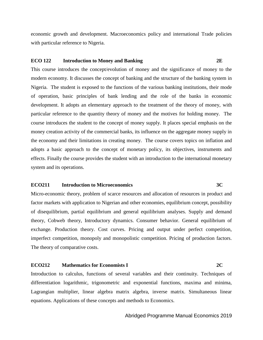economic growth and development. Macroeconomics policy and international Trade policies with particular reference to Nigeria.

#### **ECO 122 Introduction to Money and Banking 2E**

This course introduces the concept/evolution of money and the significance of money to the modern economy. It discusses the concept of banking and the structure of the banking system in Nigeria. The student is exposed to the functions of the various banking institutions, their mode of operation, basic principles of bank lending and the role of the banks in economic development. It adopts an elementary approach to the treatment of the theory of money, with particular reference to the quantity theory of money and the motives for holding money. The course introduces the student to the concept of money supply. It places special emphasis on the money creation activity of the commercial banks, its influence on the aggregate money supply in the economy and their limitations in creating money. The course covers topics on inflation and adopts a basic approach to the concept of monetary policy, its objectives, instruments and effects. Finally the course provides the student with an introduction to the international monetary system and its operations.

### **ECO211 Introduction to Microeconomics 3C**

Micro-economic theory, problem of scarce resources and allocation of resources in product and factor markets with application to Nigerian and other economies, equilibrium concept, possibility of disequilibrium, partial equilibrium and general equilibrium analyses. Supply and demand theory, Cobweb theory, Introductory dynamics. Consumer behavior. General equilibrium of exchange. Production theory. Cost curves. Pricing and output under perfect competition, imperfect competition, monopoly and monopolistic competition. Pricing of production factors. The theory of comparative costs.

### **ECO212 Mathematics for Economists I 2C**

Introduction to calculus, functions of several variables and their continuity. Techniques of differentiation logarithmic, trigonometric and exponential functions, maxima and minima, Lagrangian multiplier, linear algebra matrix algebra, inverse matrix. Simultaneous linear equations. Applications of these concepts and methods to Economics.

#### Abridged Programme Manual Economics 2019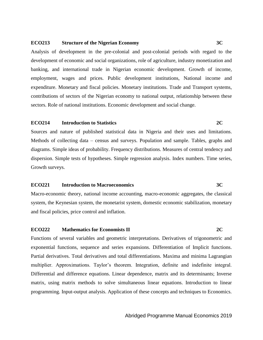### **ECO213 Structure of the Nigerian Economy 3C**

Analysis of development in the pre-colonial and post-colonial periods with regard to the development of economic and social organizations, role of agriculture, industry monetization and banking, and international trade in Nigerian economic development. Growth of income, employment, wages and prices. Public development institutions, National income and expenditure. Monetary and fiscal policies. Monetary institutions. Trade and Transport systems, contributions of sectors of the Nigerian economy to national output, relationship between these sectors. Role of national institutions. Economic development and social change.

### **ECO214 Introduction to Statistics 2C**

Sources and nature of published statistical data in Nigeria and their uses and limitations. Methods of collecting data – census and surveys. Population and sample. Tables, graphs and diagrams. Simple ideas of probability. Frequency distributions. Measures of central tendency and dispersion. Simple tests of hypotheses. Simple regression analysis. Index numbers. Time series, Growth surveys.

#### **ECO221 Introduction to Macroeconomics 3C**

Macro-economic theory, national income accounting, macro-economic aggregates, the classical system, the Keynesian system, the monetarist system, domestic economic stabilization, monetary and fiscal policies, price control and inflation.

#### **ECO222 Mathematics for Economists II 2C**

Functions of several variables and geometric interpretations. Derivatives of trigonometric and exponential functions, sequence and series expansions. Differentiation of Implicit functions. Partial derivatives. Total derivatives and total differentiations. Maxima and minima Lagrangian multiplier. Approximations. Taylor's theorem. Integration, definite and indefinite integral. Differential and difference equations. Linear dependence, matrix and its determinants; Inverse matrix, using matrix methods to solve simultaneous linear equations. Introduction to linear programming. Input-output analysis. Application of these concepts and techniques to Economics.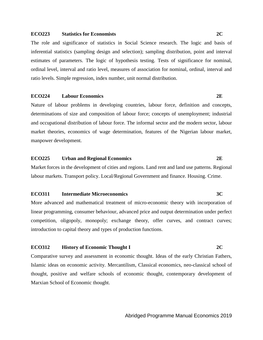#### **ECO223 Statistics for Economists 2C**

The role and significance of statistics in Social Science research. The logic and basis of inferential statistics (sampling design and selection); sampling distribution, point and interval estimates of parameters. The logic of hypothesis testing. Tests of significance for nominal, ordinal level, interval and ratio level, measures of association for nominal, ordinal, interval and ratio levels. Simple regression, index number, unit normal distribution.

#### **ECO224 Labour Economics 2E**

Nature of labour problems in developing countries, labour force, definition and concepts, determinations of size and composition of labour force; concepts of unemployment; industrial and occupational distribution of labour force. The informal sector and the modern sector, labour market theories, economics of wage determination, features of the Nigerian labour market, manpower development.

#### **ECO225 Urban and Regional Economics 2E**

Market forces in the development of cities and regions. Land rent and land use patterns. Regional labour markets. Transport policy. Local/Regional Government and finance. Housing. Crime.

#### **ECO311 Intermediate Microeconomics 3C**

More advanced and mathematical treatment of micro-economic theory with incorporation of linear programming, consumer behaviour, advanced price and output determination under perfect competition, oligopoly, monopoly; exchange theory, offer curves, and contract curves; introduction to capital theory and types of production functions.

#### **ECO312 History of Economic Thought I 2C**

Comparative survey and assessment in economic thought. Ideas of the early Christian Fathers, Islamic ideas on economic activity. Mercantilism, Classical economics, neo-classical school of thought, positive and welfare schools of economic thought, contemporary development of Marxian School of Economic thought.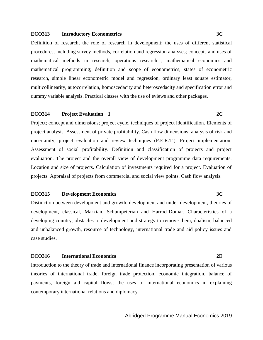#### **ECO313 Introductory Econometrics 3C**

Definition of research, the role of research in development; the uses of different statistical procedures, including survey methods, correlation and regression analyses; concepts and uses of mathematical methods in research, operations research , mathematical economics and mathematical programming; definition and scope of econometrics, states of econometric research, simple linear econometric model and regression, ordinary least square estimator, multicollinearity, autocorrelation, homoscedacity and heteroscedacity and specification error and dummy variable analysis. Practical classes with the use of eviews and other packages.

#### **ECO314 Project Evaluation I 2C**

Project; concept and dimensions; project cycle, techniques of project identification. Elements of project analysis. Assessment of private profitability. Cash flow dimensions; analysis of risk and uncertainty; project evaluation and review techniques (P.E.R.T.). Project implementation. Assessment of social profitability. Definition and classification of projects and project evaluation. The project and the overall view of development programme data requirements. Location and size of projects. Calculation of investments required for a project. Evaluation of projects. Appraisal of projects from commercial and social view points. Cash flow analysis.

#### **ECO315 Development Economics 3C**

Distinction between development and growth, development and under-development, theories of development, classical, Marxian, Schumpeterian and Harrod-Domar, Characteristics of a developing country, obstacles to development and strategy to remove them, dualism, balanced and unbalanced growth, resource of technology, international trade and aid policy issues and case studies.

#### **ECO316 International Economics 2E**

Introduction to the theory of trade and international finance incorporating presentation of various theories of international trade, foreign trade protection, economic integration, balance of payments, foreign aid capital flows; the uses of international economics in explaining contemporary international relations and diplomacy.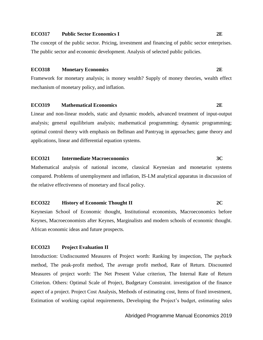#### **ECO317 Public Sector Economics I 2E**

The concept of the public sector. Pricing, investment and financing of public sector enterprises. The public sector and economic development. Analysis of selected public policies.

#### **ECO318 Monetary Economics 2E**

Framework for monetary analysis; is money wealth? Supply of money theories, wealth effect mechanism of monetary policy, and inflation.

#### **ECO319 Mathematical Economics 2E**

Linear and non-linear models, static and dynamic models, advanced treatment of input-output analysis; general equilibrium analysis; mathematical programming; dynamic programming; optimal control theory with emphasis on Bellman and Pantryag in approaches; game theory and applications, linear and differential equation systems.

#### **ECO321 Intermediate Macroeconomics 3C**

Mathematical analysis of national income, classical Keynesian and monetarist systems compared. Problems of unemployment and inflation, IS-LM analytical apparatus in discussion of the relative effectiveness of monetary and fiscal policy.

### **ECO322 History of Economic Thought II 2C**

Keynesian School of Economic thought, Institutional economists, Macroeconomics before Keynes, Macroeconomists after Keynes, Marginalists and modern schools of economic thought. African economic ideas and future prospects.

#### **ECO323 Project Evaluation II**

Introduction: Undiscounted Measures of Project worth: Ranking by inspection, The payback method, The peak-profit method, The average profit method, Rate of Return. Discounted Measures of project worth: The Net Present Value criterion, The Internal Rate of Return Criterion. Others: Optimal Scale of Project, Budgetary Constraint. investigation of the finance aspect of a project. Project Cost Analysis, Methods of estimating cost, Items of fixed investment, Estimation of working capital requirements, Developing the Project's budget, estimating sales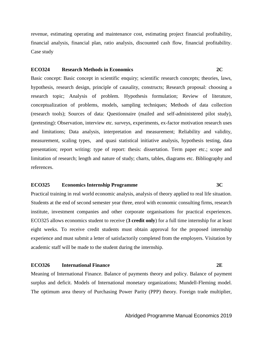revenue, estimating operating and maintenance cost, estimating project financial profitability, financial analysis, financial plan, ratio analysis, discounted cash flow, financial profitability. Case study

#### **ECO324 Research Methods in Economics 2C**

Basic concept: Basic concept in scientific enquiry; scientific research concepts; theories, laws, hypothesis, research design, principle of causality, constructs; Research proposal: choosing a research topic; Analysis of problem. Hypothesis formulation; Review of literature, conceptualization of problems, models, sampling techniques; Methods of data collection (research tools); Sources of data: Questionnaire (mailed and self-administered pilot study), (pretesting): Observation, interview etc. surveys, experiments, ex-factor motivation research uses and limitations; Data analysis, interpretation and measurement; Reliability and validity, measurement, scaling types, and quasi statistical initiative analysis, hypothesis testing, data presentation; report writing: type of report: thesis: dissertation. Term paper etc.; scope and limitation of research; length and nature of study; charts, tables, diagrams etc. Bibliography and references.

#### **ECO325 Economics Internship Programme 3C**

Practical training in real world economic analysis, analysis of theory applied to real life situation. Students at the end of second semester year three, enrol with economic consulting firms, research institute, investment companies and other corporate organisations for practical experiences. ECO325 allows economics student to receive (**3 credit only**) for a full time internship for at least eight weeks. To receive credit students must obtain approval for the proposed internship experience and must submit a letter of satisfactorily completed from the employers. Visitation by academic staff will be made to the student during the internship.

### **ECO326 International Finance 2E**

Meaning of International Finance. Balance of payments theory and policy. Balance of payment surplus and deficit. Models of International monetary organizations; Mundell-Fleming model. The optimum area theory of Purchasing Power Parity (PPP) theory. Foreign trade multiplier,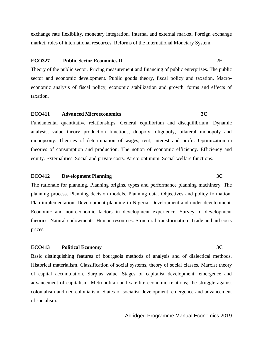exchange rate flexibility, monetary integration. Internal and external market. Foreign exchange market, roles of international resources. Reforms of the International Monetary System.

#### **ECO327 Public Sector Economics II 2E**

Theory of the public sector. Pricing measurement and financing of public enterprises. The public sector and economic development. Public goods theory, fiscal policy and taxation. Macroeconomic analysis of fiscal policy, economic stabilization and growth, forms and effects of taxation.

#### **ECO411 Advanced Microeconomics 3C**

Fundamental quantitative relationships. General equilibrium and disequilibrium. Dynamic analysis, value theory production functions, duopoly, oligopoly, bilateral monopoly and monopsony. Theories of determination of wages, rent, interest and profit. Optimization in theories of consumption and production. The notion of economic efficiency. Efficiency and equity. Externalities. Social and private costs. Pareto optimum. Social welfare functions.

#### **ECO412 Development Planning 3C**

The rationale for planning. Planning origins, types and performance planning machinery. The planning process. Planning decision models. Planning data. Objectives and policy formation. Plan implementation. Development planning in Nigeria. Development and under-development. Economic and non-economic factors in development experience. Survey of development theories. Natural endowments. Human resources. Structural transformation. Trade and aid costs prices.

#### **ECO413 Political Economy 3C**

Basic distinguishing features of bourgeois methods of analysis and of dialectical methods. Historical materialism. Classification of social systems, theory of social classes. Marxist theory of capital accumulation. Surplus value. Stages of capitalist development: emergence and advancement of capitalism. Metropolitan and satellite economic relations; the struggle against colonialism and neo-colonialism. States of socialist development, emergence and advancement of socialism.

#### Abridged Programme Manual Economics 2019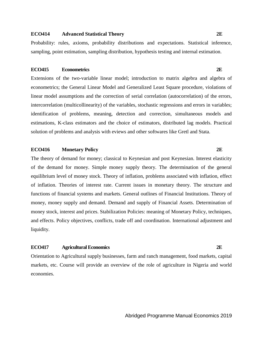#### **ECO414 Advanced Statistical Theory 2E**

Probability: rules, axioms, probability distributions and expectations. Statistical inference, sampling, point estimation, sampling distribution, hypothesis testing and internal estimation.

#### **ECO415 Econometrics 2E**

Extensions of the two-variable linear model; introduction to matrix algebra and algebra of econometrics; the General Linear Model and Generalized Least Square procedure, violations of linear model assumptions and the correction of serial correlation (autocorrelation) of the errors, intercorrelation (multicollinearity) of the variables, stochastic regressions and errors in variables; identification of problems, meaning, detection and correction, simultaneous models and estimations, K-class estimators and the choice of estimators, distributed lag models. Practical solution of problems and analysis with eviews and other softwares like Gretl and Stata.

### **ECO416 Monetary Policy 2E**

The theory of demand for money; classical to Keynesian and post Keynesian. Interest elasticity of the demand for money. Simple money supply theory. The determination of the general equilibrium level of money stock. Theory of inflation, problems associated with inflation, effect of inflation. Theories of interest rate. Current issues in monetary theory. The structure and functions of financial systems and markets. General outlines of Financial Institutions. Theory of money, money supply and demand. Demand and supply of Financial Assets. Determination of money stock, interest and prices. Stabilization Policies: meaning of Monetary Policy, techniques, and effects. Policy objectives, conflicts, trade off and coordination. International adjustment and liquidity.

#### **ECO417 Agricultural Economics 2E**

Orientation to Agricultural supply businesses, farm and ranch management, food markets, capital markets, etc. Course will provide an overview of the role of agriculture in Nigeria and world economies.

#### Abridged Programme Manual Economics 2019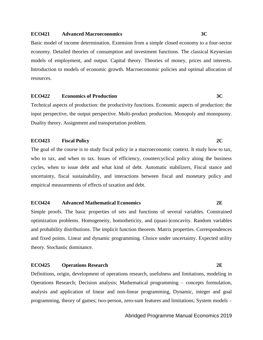#### **ECO421 Advanced Macroeconomics 3C**

Basic model of income determination. Extension from a simple closed economy to a four-sector economy. Detailed theories of consumption and investment functions. The classical Keynesian models of employment, and output. Capital theory. Theories of money, prices and interests. Introduction to models of economic growth. Macroeconomic policies and optimal allocation of resources.

#### **ECO422 Economics of Production 3C**

Technical aspects of production: the productivity functions. Economic aspects of production: the input perspective, the output perspective. Multi-product production. Monopoly and monopsony. Duality theory. Assignment and transportation problem.

#### **ECO423 Fiscal Policy 2C**

The goal of the course is to study fiscal policy in a macroeconomic context. It study how to tax, who to tax, and when to tax. Issues of efficiency, countercyclical policy along the business cycles, when to issue debt and what kind of debt. Automatic stabilizers, Fiscal stance and uncertainty, fiscal sustainability, and interactions between fiscal and monetary policy and empirical measurements of effects of taxation and debt.

#### **ECO424 Advanced Mathematical Economics 2E**

Simple proofs. The basic properties of sets and functions of several variables. Constrained optimization problems. Homogeneity, homotheticity, and (quasi-)concavity. Random variables and probability distributions. The implicit function theorem. Matrix properties. Correspondences and fixed points. Linear and dynamic programming. Choice under uncertainty. Expected utility theory. Stochastic dominance.

### **ECO425 Operations Research 2E**

Definitions, origin, development of operations research, usefulness and limitations, modeling in Operations Research; Decision analysis; Mathematical programming – concepts formulation, analysis and application of linear and non-linear programming, Dynamic, integer and goal programming, theory of games; two-person, zero-sum features and limitations; System models –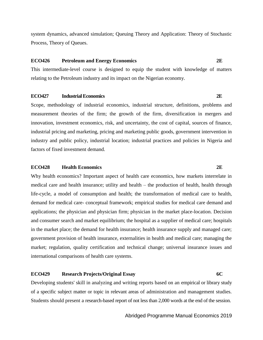system dynamics, advanced simulation; Queuing Theory and Application: Theory of Stochastic Process, Theory of Queues.

#### **ECO426 Petroleum and Energy Economics 2E**

This intermediate-level course is designed to equip the student with knowledge of matters relating to the Petroleum industry and its impact on the Nigerian economy.

#### **ECO427 Industrial Economics 2E**

Scope, methodology of industrial economics, industrial structure, definitions, problems and measurement theories of the firm; the growth of the firm, diversification in mergers and innovation, investment economics, risk, and uncertainty, the cost of capital, sources of finance, industrial pricing and marketing, pricing and marketing public goods, government intervention in industry and public policy, industrial location; industrial practices and policies in Nigeria and factors of fixed investment demand.

#### **ECO428 Health Economics 2E**

Why health economics? Important aspect of health care economics, how markets interrelate in medical care and health insurance; utility and health – the production of health, health through life-cycle, a model of consumption and health; the transformation of medical care to health, demand for medical care- conceptual framework; empirical studies for medical care demand and applications; the physician and physician firm; physician in the market place-location. Decision and consumer search and market equilibrium; the hospital as a supplier of medical care; hospitals in the market place; the demand for health insurance; health insurance supply and managed care; government provision of health insurance, externalities in health and medical care; managing the market; regulation, quality certification and technical change; universal insurance issues and international comparisons of health care systems.

### **ECO429 Research Projects/Original Essay 6C**

Developing students' skill in analyzing and writing reports based on an empirical or library study of a specific subject matter or topic in relevant areas of administration and management studies. Students should present a research-based report of not less than 2,000 words at the end of the session.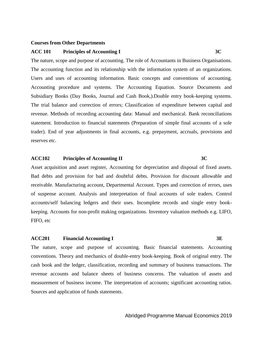#### **Courses from Other Departments**

#### **ACC 101 Principles of Accounting I 3C**

The nature, scope and purpose of accounting. The role of Accountants in Business Organisations. The accounting function and its relationship with the information system of an organizations. Users and uses of accounting information. Basic concepts and conventions of accounting. Accounting procedure and systems. The Accounting Equation. Source Documents and Subsidiary Books (Day Books, Journal and Cash Book,).Double entry book-keeping systems. The trial balance and correction of errors; Classification of expenditure between capital and revenue. Methods of recording accounting data: Manual and mechanical. Bank reconciliations statement. Introduction to financial statements (Preparation of simple final accounts of a sole trader). End of year adjustments in final accounts, e.g. prepayment, accruals, provisions and reserves etc.

### **ACC102 Principles of Accounting II 3C**

Asset acquisition and asset register, Accounting for depreciation and disposal of fixed assets. Bad debts and provision for bad and doubtful debts. Provision for discount allowable and receivable. Manufacturing account, Departmental Account. Types and correction of errors, uses of suspense account. Analysis and interpretation of final accounts of sole traders. Control accounts/self balancing ledgers and their uses. Incomplete records and single entry bookkeeping. Accounts for non-profit making organizations. Inventory valuation methods e.g. LIFO, FIFO, etc

#### **ACC201 Financial Accounting I 3E**

The nature, scope and purpose of accounting. Basic financial statements. Accounting conventions. Theory and mechanics of double-entry book-keeping. Book of original entry. The cash book and the ledger, classification, recording and summary of business transactions. The revenue accounts and balance sheets of business concerns. The valuation of assets and measurement of business income. The interpretation of accounts; significant accounting ratios. Sources and application of funds statements.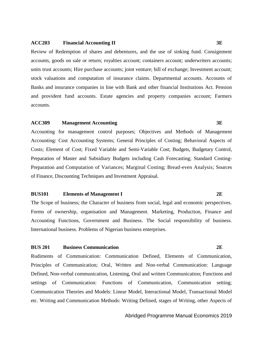#### **ACC203 Financial Accounting II 3E**

Review of Redemption of shares and debentures, and the use of sinking fund. Consignment accounts, goods on sale or return; royalties account; containers account; underwriters accounts; units trust accounts; Hire purchase accounts; joint venture; bill of exchange; Investment account; stock valuations and computation of insurance claims. Departmental accounts. Accounts of Banks and insurance companies in line with Bank and other financial Institutions Act. Pension and provident fund accounts. Estate agencies and property companies account; Farmers accounts.

### **ACC309 Management Accounting 3E**

Accounting for management control purposes; Objectives and Methods of Management Accounting: Cost Accounting Systems; General Principles of Costing; Behavioral Aspects of Costs; Element of Cost; Fixed Variable and Semi-Variable Cost; Budgets, Budgetary Control, Preparation of Master and Subsidiary Budgets including Cash Forecasting; Standard Costing-Preparation and Computation of Variances; Marginal Costing; Bread-even Analysis; Sources of Finance, Discounting Techniques and Investment Appraisal.

#### **BUS101 Elements of Management I 2E**

The Scope of business; the Character of business from social, legal and economic perspectives. Forms of ownership, organisation and Management. Marketing, Production, Finance and Accounting Functions, Government and Business. The Social responsibility of business. International business. Problems of Nigerian business enterprises.

#### **BUS 201 Business Communication 2E**

Rudiments of Communication: Communication Defined, Elements of Communication, Principles of Communication; Oral, Written and Non-verbal Communication: Language Defined, Non-verbal communication, Listening, Oral and written Communication; Functions and settings of Communication: Functions of Communication, Communication setting; Communication Theories and Models: Linear Model, Interactional Model, Transactional Model etc. Writing and Communication Methods: Writing Defined, stages of Writing, other Aspects of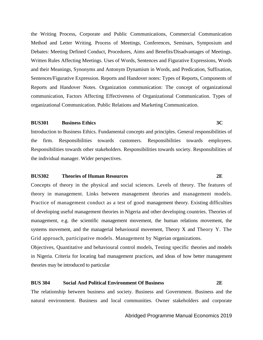the Writing Process, Corporate and Public Communications, Commercial Communication Method and Letter Writing. Process of Meetings, Conferences, Seminars, Symposium and Debates: Meeting Defined Conduct, Procedures, Aims and Benefits/Disadvantages of Meetings. Written Rules Affecting Meetings. Uses of Words, Sentences and Figurative Expressions, Words and their Meanings, Synonyms and Antonym Dynamism in Words, and Predication, Suffixation, Sentences/Figurative Expression. Reports and Handover notes: Types of Reports, Components of Reports and Handover Notes. Organization communication: The concept of organizational communication, Factors Affecting Effectiveness of Organizational Communication. Types of organizational Communication. Public Relations and Marketing Communication.

### **BUS301 Business Ethics 3C**

Introduction to Business Ethics. Fundamental concepts and principles. General responsibilities of the firm. Responsibilities towards customers. Responsibilities towards employees. Responsibilities towards other stakeholders. Responsibilities towards society. Responsibilities of the individual manager. Wider perspectives.

#### **BUS302 Theories of Human Resources 2E**

Concepts of theory in the physical and social sciences. Levels of theory. The features of theory in management. Links between management theories and management models. Practice of management conduct as a test of good management theory. Existing difficulties of developing useful management theories in Nigeria and other developing countries. Theories of management, e.g. the scientific management movement, the human relations movement, the systems movement, and the managerial behavioural movement, Theory X and Theory Y. The Grid approach, participative models. Management by Nigerian organizations.

Objectives, Quantitative and behavioural control models, Testing specific theories and models in Nigeria. Criteria for locating bad management practices, and ideas of how better management theories may be introduced to particular

#### **BUS 304 Social And Political Environment Of Business 2E**

The relationship between business and society. Business and Government. Business and the natural environment. Business and local communities. Owner stakeholders and corporate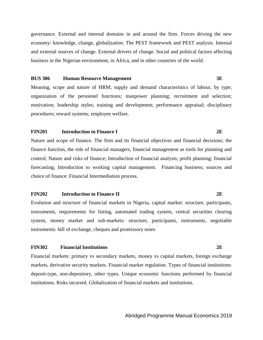governance. External and internal domains in and around the firm. Forces driving the new economy: knowledge, change, globalization. The PEST framework and PEST analysis. Internal and external sources of change. External drivers of change. Social and political factors affecting business in the Nigerian environment, in Africa, and in other countries of the world.

#### **BUS 306 Human Resource Management 3E**

Meaning, scope and nature of HRM; supply and demand characteristics of labour, by type; organization of the personnel functions; manpower planning; recruitment and selection; motivation; leadership styles; training and development; performance appraisal; disciplinary procedures; reward systems; employee welfare.

#### **FIN201 Introduction to Finance I 2E**

Nature and scope of finance. The firm and its financial objectives and financial decisions; the finance function, the role of financial managers, financial management as tools for planning and control; Nature and risks of finance; Introduction of financial analysis; profit planning; financial forecasting; Introduction to working capital management. Financing business; sources and choice of finance: Financial Intermediation process.

#### **FIN202 Introduction to Finance II 2E**

Evolution and structure of financial markets in Nigeria, capital market: structure, participants, instruments, requirements for listing, automated trading system, central securities clearing system, money market and sub-markets: structure, participants, instruments, negotiable instruments: bill of exchange, cheques and promissory notes

#### **FIN302 Financial Institutions 2E**

Financial markets: primary vs secondary markets, money vs capital markets, foreign exchange markets, derivative security markets. Financial market regulation. Types of financial institutions: deposit-type, non-depository, other types. Unique economic functions performed by financial institutions. Risks incurred. Globalization of financial markets and institutions.